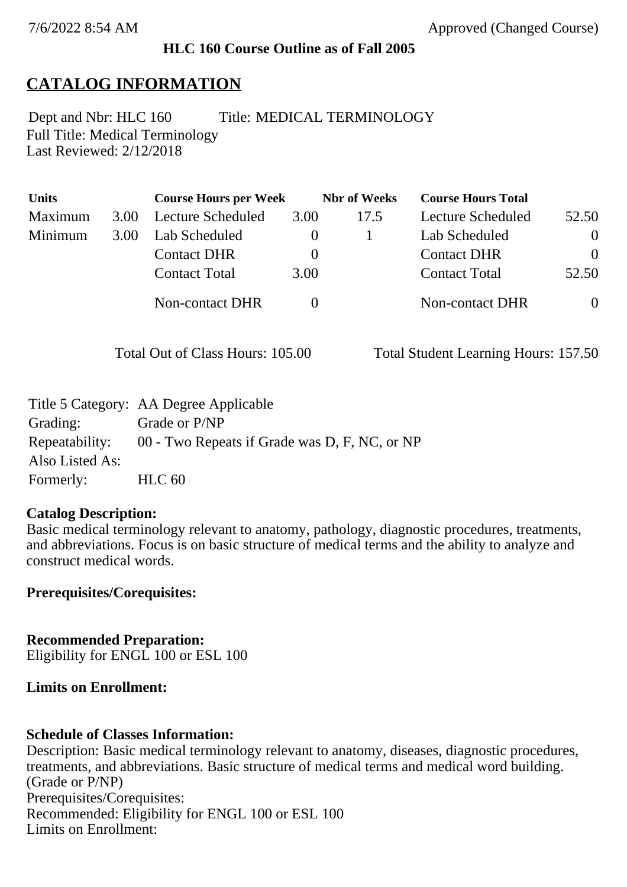### **HLC 160 Course Outline as of Fall 2005**

## **CATALOG INFORMATION**

Full Title: Medical Terminology Last Reviewed: 2/12/2018 Dept and Nbr: HLC 160 Title: MEDICAL TERMINOLOGY

| <b>Units</b> |      | <b>Course Hours per Week</b> |      | <b>Nbr</b> of Weeks | <b>Course Hours Total</b> |                |
|--------------|------|------------------------------|------|---------------------|---------------------------|----------------|
| Maximum      | 3.00 | Lecture Scheduled            | 3.00 | 17.5                | Lecture Scheduled         | 52.50          |
| Minimum      | 3.00 | Lab Scheduled                |      |                     | Lab Scheduled             | $\overline{0}$ |
|              |      | <b>Contact DHR</b>           |      |                     | <b>Contact DHR</b>        | $\Omega$       |
|              |      | <b>Contact Total</b>         | 3.00 |                     | <b>Contact Total</b>      | 52.50          |
|              |      | Non-contact DHR              |      |                     | Non-contact DHR           | $\overline{0}$ |

Total Out of Class Hours: 105.00 Total Student Learning Hours: 157.50

|                 | Title 5 Category: AA Degree Applicable        |
|-----------------|-----------------------------------------------|
| Grading:        | Grade or P/NP                                 |
| Repeatability:  | 00 - Two Repeats if Grade was D, F, NC, or NP |
| Also Listed As: |                                               |
| Formerly:       | HLC <sub>60</sub>                             |

#### **Catalog Description:**

Basic medical terminology relevant to anatomy, pathology, diagnostic procedures, treatments, and abbreviations. Focus is on basic structure of medical terms and the ability to analyze and construct medical words.

**Prerequisites/Corequisites:**

**Recommended Preparation:** Eligibility for ENGL 100 or ESL 100

### **Limits on Enrollment:**

### **Schedule of Classes Information:**

Description: Basic medical terminology relevant to anatomy, diseases, diagnostic procedures, treatments, and abbreviations. Basic structure of medical terms and medical word building. (Grade or P/NP) Prerequisites/Corequisites: Recommended: Eligibility for ENGL 100 or ESL 100 Limits on Enrollment: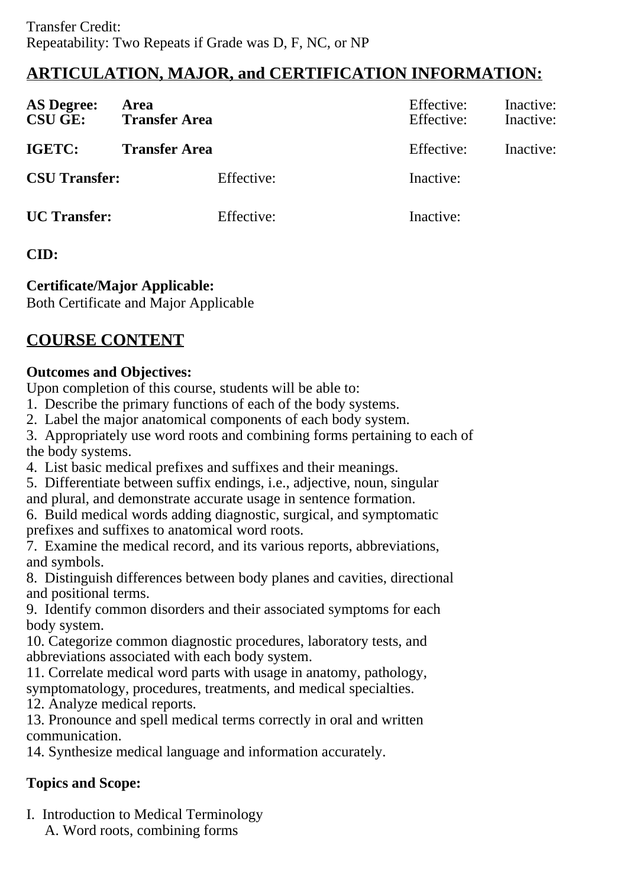# **ARTICULATION, MAJOR, and CERTIFICATION INFORMATION:**

| <b>AS Degree:</b><br><b>CSU GE:</b> | Area<br><b>Transfer Area</b> | Effective:<br>Effective: | Inactive:<br>Inactive: |
|-------------------------------------|------------------------------|--------------------------|------------------------|
| <b>IGETC:</b>                       | <b>Transfer Area</b>         | Effective:               | Inactive:              |
| <b>CSU Transfer:</b>                | Effective:                   | Inactive:                |                        |
| <b>UC</b> Transfer:                 | Effective:                   | Inactive:                |                        |

## **CID:**

## **Certificate/Major Applicable:**

[Both Certificate and Major Applicable](SR_ClassCheck.aspx?CourseKey=HLC160)

# **COURSE CONTENT**

## **Outcomes and Objectives:**

Upon completion of this course, students will be able to:

- 1. Describe the primary functions of each of the body systems.
- 2. Label the major anatomical components of each body system.
- 3. Appropriately use word roots and combining forms pertaining to each of the body systems.
- 4. List basic medical prefixes and suffixes and their meanings.
- 5. Differentiate between suffix endings, i.e., adjective, noun, singular and plural, and demonstrate accurate usage in sentence formation.
- 6. Build medical words adding diagnostic, surgical, and symptomatic prefixes and suffixes to anatomical word roots.
- 7. Examine the medical record, and its various reports, abbreviations, and symbols.
- 8. Distinguish differences between body planes and cavities, directional and positional terms.
- 9. Identify common disorders and their associated symptoms for each body system.
- 10. Categorize common diagnostic procedures, laboratory tests, and abbreviations associated with each body system.
- 11. Correlate medical word parts with usage in anatomy, pathology, symptomatology, procedures, treatments, and medical specialties.
- 12. Analyze medical reports.
- 13. Pronounce and spell medical terms correctly in oral and written communication.
- 14. Synthesize medical language and information accurately.

## **Topics and Scope:**

I. Introduction to Medical Terminology A. Word roots, combining forms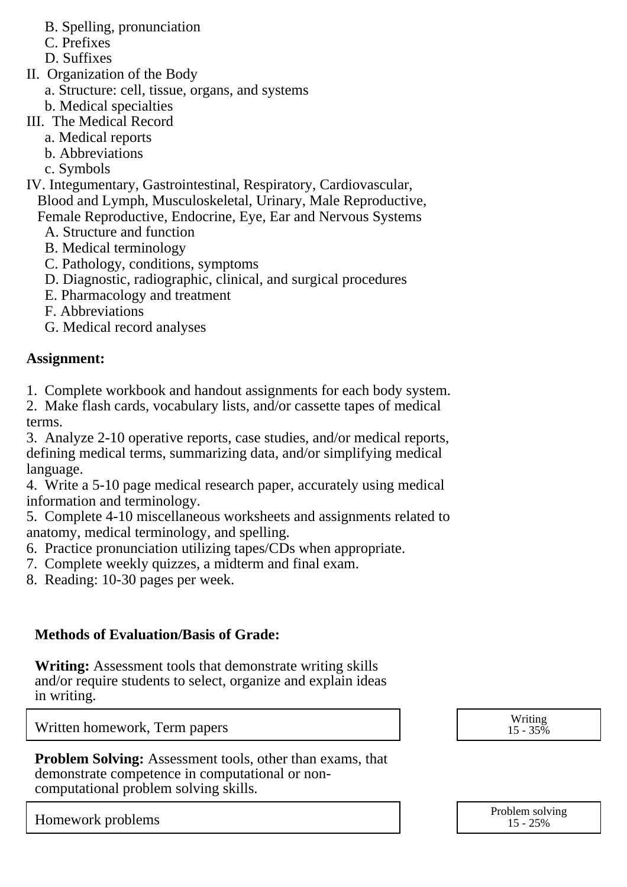- B. Spelling, pronunciation
- C. Prefixes
- D. Suffixes
- II. Organization of the Body
	- a. Structure: cell, tissue, organs, and systems
	- b. Medical specialties
- III. The Medical Record
	- a. Medical reports
	- b. Abbreviations
	- c. Symbols
- IV. Integumentary, Gastrointestinal, Respiratory, Cardiovascular, Blood and Lymph, Musculoskeletal, Urinary, Male Reproductive,
	- Female Reproductive, Endocrine, Eye, Ear and Nervous Systems
		- A. Structure and function
		- B. Medical terminology
		- C. Pathology, conditions, symptoms
		- D. Diagnostic, radiographic, clinical, and surgical procedures
		- E. Pharmacology and treatment
		- F. Abbreviations
		- G. Medical record analyses

## **Assignment:**

1. Complete workbook and handout assignments for each body system.

2. Make flash cards, vocabulary lists, and/or cassette tapes of medical terms.

3. Analyze 2-10 operative reports, case studies, and/or medical reports, defining medical terms, summarizing data, and/or simplifying medical language.

4. Write a 5-10 page medical research paper, accurately using medical information and terminology.

5. Complete 4-10 miscellaneous worksheets and assignments related to anatomy, medical terminology, and spelling.

6. Practice pronunciation utilizing tapes/CDs when appropriate.

- 7. Complete weekly quizzes, a midterm and final exam.
- 8. Reading: 10-30 pages per week.

## **Methods of Evaluation/Basis of Grade:**

**Writing:** Assessment tools that demonstrate writing skills and/or require students to select, organize and explain ideas in writing.

Written homework, Term papers and the set of the set of the set of the set of the set of the set of the set of the set of the set of the set of the set of the set of the set of the set of the set of the set of the set of t

**Problem Solving:** Assessment tools, other than exams, that demonstrate competence in computational or noncomputational problem solving skills.

Homework problems and the problem solving the problem solving the problem solving the Problem solving the Problem solving the Problem solving the Problem solving the Problem solving the Problem solving the Problem solving

15 - 35%